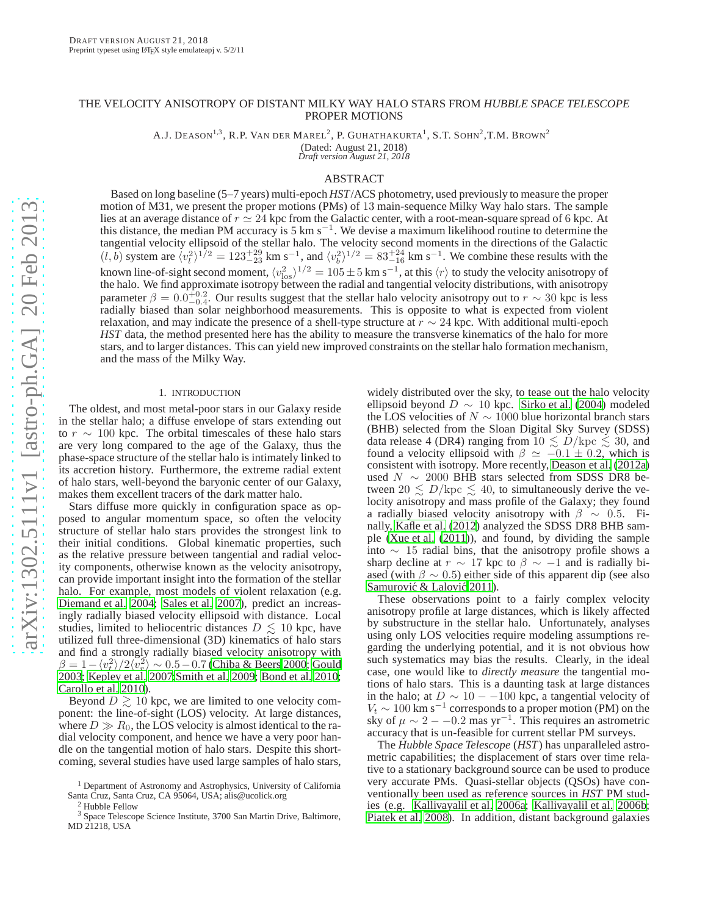## THE VELOCITY ANISOTROPY OF DISTANT MILKY WAY HALO STARS FROM *HUBBLE SPACE TELESCOPE* PROPER MOTIONS

A.J. DEASON<sup>1,3</sup>, R.P. VAN DER MAREL<sup>2</sup>, P. GUHATHAKURTA<sup>1</sup>, S.T. SOHN<sup>2</sup>,T.M. Brown<sup>2</sup>

(Dated: August 21, 2018) *Draft version August 21, 2018*

## ABSTRACT

Based on long baseline (5–7 years) multi-epoch *HST*/ACS photometry, used previously to measure the proper motion of M31, we present the proper motions (PMs) of 13 main-sequence Milky Way halo stars. The sample lies at an average distance of  $r \approx 24$  kpc from the Galactic center, with a root-mean-square spread of 6 kpc. At this distance, the median PM accuracy is 5 km s<sup>-1</sup>. We devise a maximum likelihood routine to determine the tangential velocity ellipsoid of the stellar halo. The velocity second moments in the directions of the Galactic  $(l, b)$  system are  $\langle v_l^2 \rangle^{1/2} = 123_{-23}^{+29}$  km s<sup>-1</sup>, and  $\langle v_b^2 \rangle^{1/2} = 83_{-16}^{+24}$  km s<sup>-1</sup>. We combine these results with the known line-of-sight second moment,  $\langle v_{\rm los}^2 \rangle^{1/2} = 105 \pm 5$  km s<sup>-1</sup>, at this  $\langle r \rangle$  to study the velocity anisotropy of the halo. We find approximate isotropy between the radial and tangential velocity distributions parameter  $\beta = 0.0_{-0.4}^{+0.2}$ . Our results suggest that the stellar halo velocity anisotropy out to  $r \sim 30$  kpc is less radially biased than solar neighborhood measurements. This is opposite to what is expected from violent relaxation, and may indicate the presence of a shell-type structure at  $r \sim 24$  kpc. With additional multi-epoch *HST* data, the method presented here has the ability to measure the transverse kinematics of the halo for more stars, and to larger distances. This can yield new improved constraints on the stellar halo formation mechanism, and the mass of the Milky Way.

### 1. INTRODUCTION

The oldest, and most metal-poor stars in our Galaxy reside in the stellar halo; a diffuse envelope of stars extending out to  $r \sim 100$  kpc. The orbital timescales of these halo stars are very long compared to the age of the Galaxy, thus the phase-space structure of the stellar halo is intimately linked to its accretion history. Furthermore, the extreme radial extent of halo stars, well-beyond the baryonic center of our Galaxy, makes them excellent tracers of the dark matter halo.

Stars diffuse more quickly in configuration space as opposed to angular momentum space, so often the velocity structure of stellar halo stars provides the strongest link to their initial conditions. Global kinematic properties, such as the relative pressure between tangential and radial velocity components, otherwise known as the velocity anisotropy, can provide important insight into the formation of the stellar halo. For example, most models of violent relaxation (e.g. [Diemand et al. 2004](#page-10-0); [Sales et al. 2007\)](#page-10-1), predict an increasingly radially biased velocity ellipsoid with distance. Local studies, limited to heliocentric distances  $D \lesssim 10$  kpc, have utilized full three-dimensional (3D) kinematics of halo stars and find a strongly radially biased velocity anisotropy with  $\beta = 1 - \langle v_i^2 \rangle / 2 \langle v_i^2 \rangle \sim 0.5 - 0.7$  [\(Chiba & Beers 2000](#page-10-2); [Gould](#page-10-3) [2003;](#page-10-3) [Kepley et al. 2007](#page-10-4)[;Smith et al. 2009;](#page-10-5) [Bond et al. 2010;](#page-10-6) [Carollo et al. 2010\)](#page-10-7).

Beyond  $D \geq 10$  kpc, we are limited to one velocity component: the line-of-sight (LOS) velocity. At large distances, where  $D \gg R_0$ , the LOS velocity is almost identical to the radial velocity component, and hence we have a very poor handle on the tangential motion of halo stars. Despite this shortcoming, several studies have used large samples of halo stars,

widely distributed over the sky, to tease out the halo velocity ellipsoid beyond  $D \sim 10$  kpc. [Sirko et al. \(2004\)](#page-10-8) modeled the LOS velocities of  $N \sim 1000$  blue horizontal branch stars (BHB) selected from the Sloan Digital Sky Survey (SDSS) data release 4 (DR4) ranging from  $10 \le D/\text{kpc} \le 30$ , and found a velocity ellipsoid with  $\beta \simeq -0.1 \pm 0.2$ , which is consistent with isotropy. More recently, [Deason et al. \(2012a\)](#page-10-9) used  $N \sim 2000$  BHB stars selected from SDSS DR8 between  $20 \leq D/\text{kpc} \leq 40$ , to simultaneously derive the velocity anisotropy and mass profile of the Galaxy; they found a radially biased velocity anisotropy with  $\beta \sim 0.5$ . Finally, [Kafle et al.](#page-10-10) [\(2012\)](#page-10-10) analyzed the SDSS DR8 BHB sample [\(Xue et al. \(2011](#page-10-11))), and found, by dividing the sample into ∼ 15 radial bins, that the anisotropy profile shows a sharp decline at  $r \sim 17$  kpc to  $\beta \sim -1$  and is radially biased (with  $\beta \sim 0.5$ ) either side of this apparent dip (see also Samurović & Lalović 2011).

These observations point to a fairly complex velocity anisotropy profile at large distances, which is likely affected by substructure in the stellar halo. Unfortunately, analyses using only LOS velocities require modeling assumptions regarding the underlying potential, and it is not obvious how such systematics may bias the results. Clearly, in the ideal case, one would like to *directly measure* the tangential motions of halo stars. This is a daunting task at large distances in the halo; at  $D \sim 10 - -100$  kpc, a tangential velocity of  $V_t \sim 100 \text{ km s}^{-1}$  corresponds to a proper motion (PM) on the sky of  $\mu \sim 2 - -0.2$  mas yr<sup>-1</sup>. This requires an astrometric accuracy that is un-feasible for current stellar PM surveys.

The *Hubble Space Telescope* (*HST*) has unparalleled astrometric capabilities; the displacement of stars over time relative to a stationary background source can be used to produce very accurate PMs. Quasi-stellar objects (QSOs) have conventionally been used as reference sources in *HST* PM studies (e.g. [Kallivayalil et al. 2006a;](#page-10-13) [Kallivayalil et al. 2006b](#page-10-14); [Piatek et al. 2008\)](#page-10-15). In addition, distant background galaxies

<sup>&</sup>lt;sup>1</sup> Department of Astronomy and Astrophysics, University of California Santa Cruz, Santa Cruz, CA 95064, USA; alis@ucolick.org

<sup>2</sup> Hubble Fellow

<sup>3</sup> Space Telescope Science Institute, 3700 San Martin Drive, Baltimore, MD 21218, USA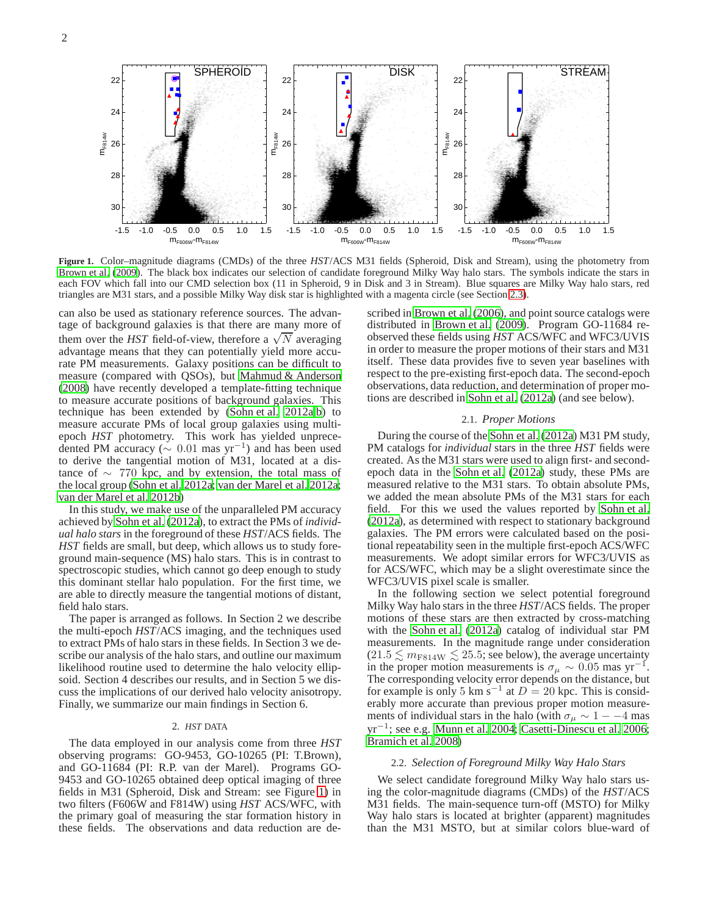

<span id="page-1-0"></span>**Figure 1.** Color–magnitude diagrams (CMDs) of the three *HST*/ACS M31 fields (Spheroid, Disk and Stream), using the photometry from [Brown et al. \(2009](#page-10-16)). The black box indicates our selection of candidate foreground Milky Way halo stars. The symbols indicate the stars in each FOV which fall into our CMD selection box (11 in Spheroid, 9 in Disk and 3 in Stream). Blue squares are Milky Way halo stars, red triangles are M31 stars, and a possible Milky Way disk star is highlighted with a magenta circle (see Section [2.3\)](#page-2-0).

can also be used as stationary reference sources. The advantage of background galaxies is that there are many more of them over the *HST* field-of-view, therefore a  $\sqrt{N}$  averaging advantage means that they can potentially yield more accurate PM measurements. Galaxy positions can be difficult to measure (compared with QSOs), but [Mahmud & Anderson](#page-10-17) [\(2008](#page-10-17)) have recently developed a template-fitting technique to measure accurate positions of background galaxies. This technique has been extended by [\(Sohn et al. 2012a](#page-10-18)[,b\)](#page-10-19) to measure accurate PMs of local group galaxies using multiepoch *HST* photometry. This work has yielded unprecedented PM accuracy ( $\sim 0.01$  mas yr<sup>-1</sup>) and has been used to derive the tangential motion of M31, located at a distance of  $\sim$  770 kpc, and by extension, the total mass of the local group [\(Sohn et al. 2012a;](#page-10-18) [van der Marel et al. 2012a;](#page-10-20) [van der Marel et al. 2012b\)](#page-10-21)

In this study, we make use of the unparalleled PM accuracy achieved by [Sohn et al.](#page-10-18) [\(2012a](#page-10-18)), to extract the PMs of *individual halo stars* in the foreground of these *HST*/ACS fields. The *HST* fields are small, but deep, which allows us to study foreground main-sequence (MS) halo stars. This is in contrast to spectroscopic studies, which cannot go deep enough to study this dominant stellar halo population. For the first time, we are able to directly measure the tangential motions of distant, field halo stars.

The paper is arranged as follows. In Section 2 we describe the multi-epoch *HST*/ACS imaging, and the techniques used to extract PMs of halo stars in these fields. In Section 3 we describe our analysis of the halo stars, and outline our maximum likelihood routine used to determine the halo velocity ellipsoid. Section 4 describes our results, and in Section 5 we discuss the implications of our derived halo velocity anisotropy. Finally, we summarize our main findings in Section 6.

## 2. *HST* DATA

The data employed in our analysis come from three *HST* observing programs: GO-9453, GO-10265 (PI: T.Brown), and GO-11684 (PI: R.P. van der Marel). Programs GO-9453 and GO-10265 obtained deep optical imaging of three fields in M31 (Spheroid, Disk and Stream: see Figure [1\)](#page-1-0) in two filters (F606W and F814W) using *HST* ACS/WFC, with the primary goal of measuring the star formation history in these fields. The observations and data reduction are de-

scribed in [Brown et al.](#page-10-22) [\(2006\)](#page-10-22), and point source catalogs were distributed in [Brown et al. \(2009](#page-10-16)). Program GO-11684 reobserved these fields using *HST* ACS/WFC and WFC3/UVIS in order to measure the proper motions of their stars and M31 itself. These data provides five to seven year baselines with respect to the pre-existing first-epoch data. The second-epoch observations, data reduction, and determination of proper motions are described in [Sohn et al. \(2012a\)](#page-10-18) (and see below).

## 2.1. *Proper Motions*

During the course of the [Sohn et al. \(2012a\)](#page-10-18) M31 PM study, PM catalogs for *individual* stars in the three *HST* fields were created. As the M31 stars were used to align first- and secondepoch data in the [Sohn et al.](#page-10-18) [\(2012a\)](#page-10-18) study, these PMs are measured relative to the M31 stars. To obtain absolute PMs, we added the mean absolute PMs of the M31 stars for each field. For this we used the values reported by [Sohn et al.](#page-10-18) [\(2012a\)](#page-10-18), as determined with respect to stationary background galaxies. The PM errors were calculated based on the positional repeatability seen in the multiple first-epoch ACS/WFC measurements. We adopt similar errors for WFC3/UVIS as for ACS/WFC, which may be a slight overestimate since the WFC3/UVIS pixel scale is smaller.

In the following section we select potential foreground Milky Way halo stars in the three *HST*/ACS fields. The proper motions of these stars are then extracted by cross-matching with the [Sohn et al. \(2012a\)](#page-10-18) catalog of individual star PM measurements. In the magnitude range under consideration  $(21.5 \lesssim m_{\rm F814W} \lesssim 25.5$ ; see below), the average uncertainty in the proper motion measurements is  $\sigma_{\mu} \sim 0.05$  mas yr<sup>-1</sup>. The corresponding velocity error depends on the distance, but for example is only 5 km s<sup>-1</sup> at  $D = 20$  kpc. This is considerably more accurate than previous proper motion measurements of individual stars in the halo (with  $\sigma_{\mu} \sim 1 - -4$  mas yr<sup>−</sup><sup>1</sup> ; see e.g. [Munn et al. 2004](#page-10-23); [Casetti-Dinescu et al. 2006](#page-10-24); [Bramich et al. 2008](#page-10-25))

## 2.2. *Selection of Foreground Milky Way Halo Stars*

We select candidate foreground Milky Way halo stars using the color-magnitude diagrams (CMDs) of the *HST*/ACS M31 fields. The main-sequence turn-off (MSTO) for Milky Way halo stars is located at brighter (apparent) magnitudes than the M31 MSTO, but at similar colors blue-ward of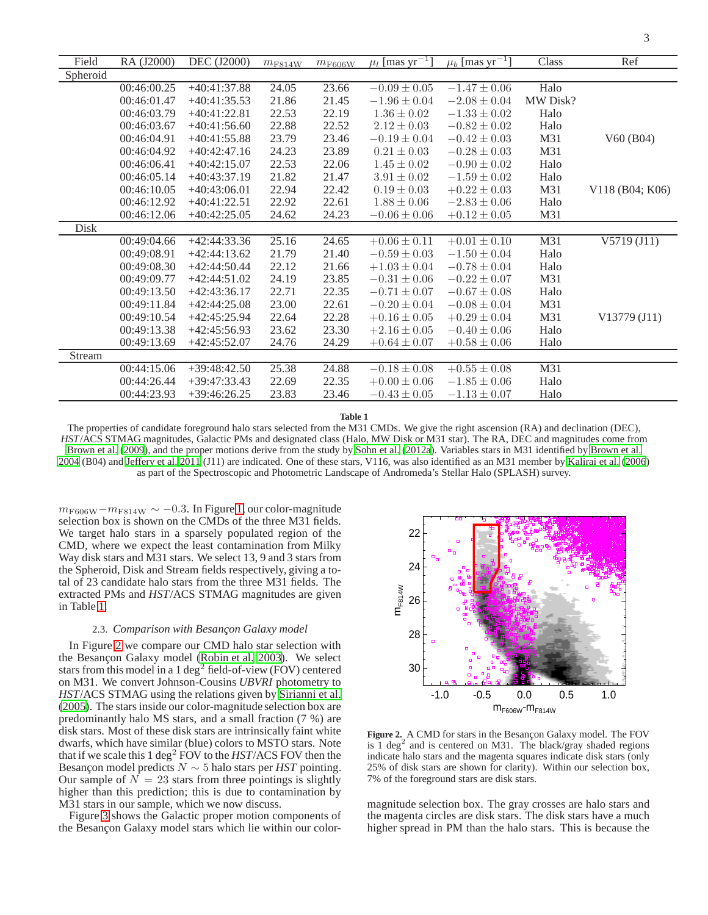| Field    | RA (J2000)  | <b>DEC</b> (J2000) | $m_{\rm F814W}$ | $m_{\rm F606W}$ | $\mu_l$ [mas yr <sup>-1</sup> ] | $\mu_b$ [mas yr <sup>-1</sup> ] | Class    | Ref             |
|----------|-------------|--------------------|-----------------|-----------------|---------------------------------|---------------------------------|----------|-----------------|
| Spheroid |             |                    |                 |                 |                                 |                                 |          |                 |
|          | 00:46:00.25 | $+40:41:37.88$     | 24.05           | 23.66           | $-0.09 \pm 0.05$                | $-1.47 \pm 0.06$                | Halo     |                 |
|          | 00:46:01.47 | $+40:41:35.53$     | 21.86           | 21.45           | $-1.96 \pm 0.04$                | $-2.08 \pm 0.04$                | MW Disk? |                 |
|          | 00:46:03.79 | $+40:41:22.81$     | 22.53           | 22.19           | $1.36 \pm 0.02$                 | $-1.33 \pm 0.02$                | Halo     |                 |
|          | 00:46:03.67 | $+40:41:56.60$     | 22.88           | 22.52           | $2.12 \pm 0.03$                 | $-0.82 \pm 0.02$                | Halo     |                 |
|          | 00:46:04.91 | $+40:41:55.88$     | 23.79           | 23.46           | $-0.19 \pm 0.04$                | $-0.42 \pm 0.03$                | M31      | V60(B04)        |
|          | 00:46:04.92 | $+40:42:47.16$     | 24.23           | 23.89           | $0.21 \pm 0.03$                 | $-0.28 \pm 0.03$                | M31      |                 |
|          | 00:46:06.41 | $+40:42:15.07$     | 22.53           | 22.06           | $1.45 \pm 0.02$                 | $-0.90 \pm 0.02$                | Halo     |                 |
|          | 00:46:05.14 | $+40:43:37.19$     | 21.82           | 21.47           | $3.91 \pm 0.02$                 | $-1.59 \pm 0.02$                | Halo     |                 |
|          | 00:46:10.05 | $+40:43:06.01$     | 22.94           | 22.42           | $0.19 \pm 0.03$                 | $+0.22 \pm 0.03$                | M31      | V118 (B04; K06) |
|          | 00:46:12.92 | $+40:41:22.51$     | 22.92           | 22.61           | $1.88 \pm 0.06$                 | $-2.83 \pm 0.06$                | Halo     |                 |
|          | 00:46:12.06 | $+40:42:25.05$     | 24.62           | 24.23           | $-0.06 \pm 0.06$                | $+0.12 \pm 0.05$                | M31      |                 |
| Disk     |             |                    |                 |                 |                                 |                                 |          |                 |
|          | 00:49:04.66 | $+42:44:33.36$     | 25.16           | 24.65           | $+0.06 \pm 0.11$                | $+0.01 \pm 0.10$                | M31      | V5719(J11)      |
|          | 00:49:08.91 | $+42:44:13.62$     | 21.79           | 21.40           | $-0.59 \pm 0.03$                | $-1.50 \pm 0.04$                | Halo     |                 |
|          | 00:49:08.30 | $+42:44:50.44$     | 22.12           | 21.66           | $+1.03 \pm 0.04$                | $-0.78 \pm 0.04$                | Halo     |                 |
|          | 00:49:09.77 | $+42:44:51.02$     | 24.19           | 23.85           | $-0.31 \pm 0.06$                | $-0.22 \pm 0.07$                | M31      |                 |
|          | 00:49:13.50 | $+42:43:36.17$     | 22.71           | 22.35           | $-0.71 \pm 0.07$                | $-0.67 \pm 0.08$                | Halo     |                 |
|          | 00:49:11.84 | $+42:44:25.08$     | 23.00           | 22.61           | $-0.20 \pm 0.04$                | $-0.08 \pm 0.04$                | M31      |                 |
|          | 00:49:10.54 | $+42:45:25.94$     | 22.64           | 22.28           | $+0.16 \pm 0.05$                | $+0.29 \pm 0.04$                | M31      | V13779 (J11)    |
|          | 00:49:13.38 | $+42:45:56.93$     | 23.62           | 23.30           | $+2.16 \pm 0.05$                | $-0.40 \pm 0.06$                | Halo     |                 |
|          | 00:49:13.69 | $+42:45:52.07$     | 24.76           | 24.29           | $+0.64 \pm 0.07$                | $+0.58 \pm 0.06$                | Halo     |                 |
| Stream   |             |                    |                 |                 |                                 |                                 |          |                 |
|          | 00:44:15.06 | $+39:48:42.50$     | 25.38           | 24.88           | $-0.18 \pm 0.08$                | $+0.55 \pm 0.08$                | M31      |                 |
|          | 00:44:26.44 | $+39:47:33.43$     | 22.69           | 22.35           | $+0.00 \pm 0.06$                | $-1.85 \pm 0.06$                | Halo     |                 |
|          | 00:44:23.93 | $+39:46:26.25$     | 23.83           | 23.46           | $-0.43 \pm 0.05$                | $-1.13 \pm 0.07$                | Halo     |                 |
|          |             |                    |                 |                 |                                 |                                 |          |                 |

**Table 1**

<span id="page-2-1"></span>The properties of candidate foreground halo stars selected from the M31 CMDs. We give the right ascension (RA) and declination (DEC), *HST*/ACS STMAG magnitudes, Galactic PMs and designated class (Halo, MW Disk or M31 star). The RA, DEC and magnitudes come from [Brown et al. \(2009\)](#page-10-16), and the proper motions derive from the study by [Sohn et al. \(2012a\)](#page-10-18). Variables stars in M31 identified by [Brown et al.](#page-10-26) [2004](#page-10-26) (B04) and [Jeffery et al. 2011](#page-10-27) (J11) are indicated. One of these stars, V116, was also identified as an M31 member by [Kalirai et al. \(2006\)](#page-10-28) as part of the Spectroscopic and Photometric Landscape of Andromeda's Stellar Halo (SPLASH) survey.

 $m_{\rm F606W}-m_{\rm F814W} \sim -0.3$ . In Figure [1,](#page-1-0) our color-magnitude selection box is shown on the CMDs of the three M31 fields. We target halo stars in a sparsely populated region of the CMD, where we expect the least contamination from Milky Way disk stars and M31 stars. We select 13, 9 and 3 stars from the Spheroid, Disk and Stream fields respectively, giving a total of 23 candidate halo stars from the three M31 fields. The extracted PMs and *HST*/ACS STMAG magnitudes are given in Table [1.](#page-2-1)

## 2.3. Comparison with Besançon Galaxy model

<span id="page-2-0"></span>In Figure [2](#page-2-2) we compare our CMD halo star selection with the Besançon Galaxy model [\(Robin et al. 2003](#page-10-29)). We select stars from this model in a 1 deg<sup>2</sup> field-of-view (FOV) centered on M31. We convert Johnson-Cousins *UBVRI* photometry to *HST*/ACS STMAG using the relations given by [Sirianni et al.](#page-10-30) [\(2005](#page-10-30)). The stars inside our color-magnitude selection box are predominantly halo MS stars, and a small fraction (7 %) are disk stars. Most of these disk stars are intrinsically faint white dwarfs, which have similar (blue) colors to MSTO stars. Note that if we scale this 1 deg<sup>2</sup> FOV to the  $HST/ACS$  FOV then the Besancon model predicts  $N \sim 5$  halo stars per *HST* pointing. Our sample of  $N = 23$  stars from three pointings is slightly higher than this prediction; this is due to contamination by M31 stars in our sample, which we now discuss.

Figure [3](#page-3-0) shows the Galactic proper motion components of the Besançon Galaxy model stars which lie within our color-



<span id="page-2-2"></span>Figure 2. A CMD for stars in the Besançon Galaxy model. The FOV is  $1 \text{ deg}^2$  and is centered on M31. The black/gray shaded regions indicate halo stars and the magenta squares indicate disk stars (only 25% of disk stars are shown for clarity). Within our selection box, 7% of the foreground stars are disk stars.

magnitude selection box. The gray crosses are halo stars and the magenta circles are disk stars. The disk stars have a much higher spread in PM than the halo stars. This is because the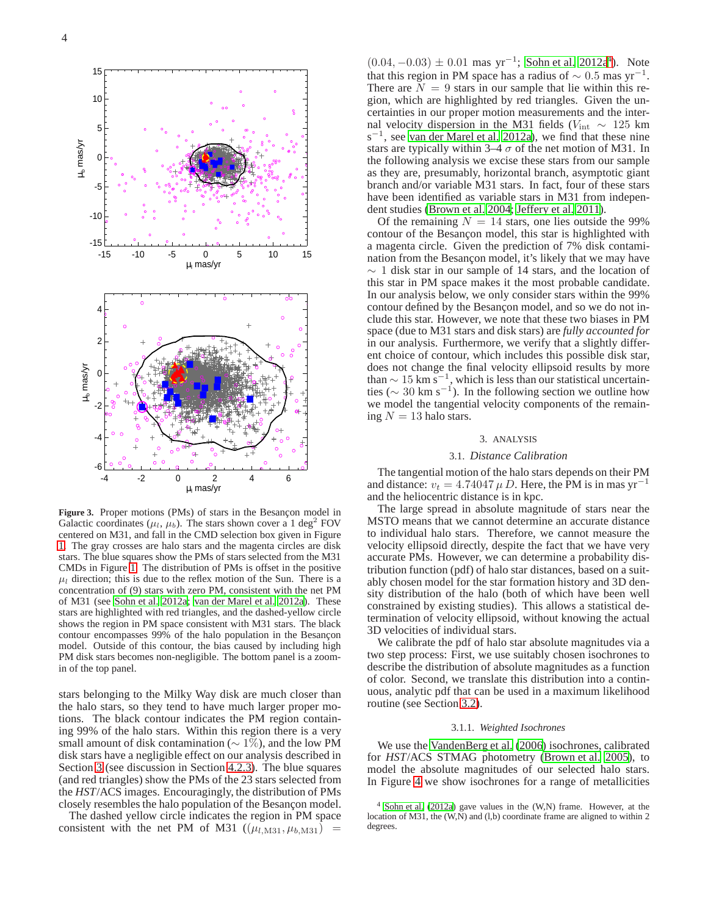

<span id="page-3-0"></span>Figure 3. Proper motions (PMs) of stars in the Besancon model in Galactic coordinates ( $\mu_l$ ,  $\mu_b$ ). The stars shown cover a 1 deg<sup>2</sup> FOV centered on M31, and fall in the CMD selection box given in Figure [1.](#page-1-0) The gray crosses are halo stars and the magenta circles are disk stars. The blue squares show the PMs of stars selected from the M31 CMDs in Figure [1.](#page-1-0) The distribution of PMs is offset in the positive  $\mu_l$  direction; this is due to the reflex motion of the Sun. There is a concentration of (9) stars with zero PM, consistent with the net PM of M31 (see [Sohn et al. 2012a](#page-10-18); [van der Marel et al. 2012a\)](#page-10-20). These stars are highlighted with red triangles, and the dashed-yellow circle shows the region in PM space consistent with M31 stars. The black contour encompasses 99% of the halo population in the Besançon model. Outside of this contour, the bias caused by including high PM disk stars becomes non-negligible. The bottom panel is a zoomin of the top panel.

stars belonging to the Milky Way disk are much closer than the halo stars, so they tend to have much larger proper motions. The black contour indicates the PM region containing 99% of the halo stars. Within this region there is a very small amount of disk contamination ( $\sim 1\%$ ), and the low PM disk stars have a negligible effect on our analysis described in Section [3](#page-3-1) (see discussion in Section [4.2.3\)](#page-7-0). The blue squares (and red triangles) show the PMs of the 23 stars selected from the *HST*/ACS images. Encouragingly, the distribution of PMs closely resembles the halo population of the Besançon model.

The dashed yellow circle indicates the region in PM space consistent with the net PM of M31  $((\mu_{l,M31}, \mu_{b,M31})$  =

 $(0.04, -0.03) \pm 0.01$  $(0.04, -0.03) \pm 0.01$  $(0.04, -0.03) \pm 0.01$  mas yr<sup>-1</sup>; [Sohn et al. 2012a](#page-10-18)<sup>4</sup>). Note that this region in PM space has a radius of  $\sim 0.5$  mas yr<sup>-1</sup>. There are  $N = 9$  stars in our sample that lie within this region, which are highlighted by red triangles. Given the uncertainties in our proper motion measurements and the internal velocity dispersion in the M31 fields ( $V_{\text{int}} \sim 125$  km  $s^{-1}$ , see [van der Marel et al. 2012a\)](#page-10-20), we find that these nine stars are typically within 3–4  $\sigma$  of the net motion of M31. In the following analysis we excise these stars from our sample as they are, presumably, horizontal branch, asymptotic giant branch and/or variable M31 stars. In fact, four of these stars have been identified as variable stars in M31 from independent studies [\(Brown et al. 2004;](#page-10-26) [Jeffery et al. 2011\)](#page-10-27).

Of the remaining  $N = 14$  stars, one lies outside the 99% contour of the Besançon model, this star is highlighted with a magenta circle. Given the prediction of 7% disk contamination from the Besançon model, it's likely that we may have  $\sim$  1 disk star in our sample of 14 stars, and the location of this star in PM space makes it the most probable candidate. In our analysis below, we only consider stars within the 99% contour defined by the Besancon model, and so we do not include this star. However, we note that these two biases in PM space (due to M31 stars and disk stars) are *fully accounted for* in our analysis. Furthermore, we verify that a slightly different choice of contour, which includes this possible disk star, does not change the final velocity ellipsoid results by more than  $\sim 15 \text{ km s}^{-1}$ , which is less than our statistical uncertainties ( $\sim 30 \text{ km s}^{-1}$ ). In the following section we outline how we model the tangential velocity components of the remaining  $N = 13$  halo stars.

#### 3. ANALYSIS

## 3.1. *Distance Calibration*

<span id="page-3-3"></span><span id="page-3-1"></span>The tangential motion of the halo stars depends on their PM and distance:  $v_t = 4.74047 \mu D$ . Here, the PM is in mas yr<sup>-1</sup> and the heliocentric distance is in kpc.

The large spread in absolute magnitude of stars near the MSTO means that we cannot determine an accurate distance to individual halo stars. Therefore, we cannot measure the velocity ellipsoid directly, despite the fact that we have very accurate PMs. However, we can determine a probability distribution function (pdf) of halo star distances, based on a suitably chosen model for the star formation history and 3D density distribution of the halo (both of which have been well constrained by existing studies). This allows a statistical determination of velocity ellipsoid, without knowing the actual 3D velocities of individual stars.

We calibrate the pdf of halo star absolute magnitudes via a two step process: First, we use suitably chosen isochrones to describe the distribution of absolute magnitudes as a function of color. Second, we translate this distribution into a continuous, analytic pdf that can be used in a maximum likelihood routine (see Section [3.2\)](#page-4-0).

#### 3.1.1. *Weighted Isochrones*

We use the [VandenBerg et al. \(2006\)](#page-10-31) isochrones, calibrated for *HST*/ACS STMAG photometry [\(Brown et al. 2005\)](#page-10-32), to model the absolute magnitudes of our selected halo stars. In Figure [4](#page-4-1) we show isochrones for a range of metallicities

<span id="page-3-2"></span><sup>4</sup> [Sohn et al. \(2012a\)](#page-10-18) gave values in the (W,N) frame. However, at the location of M31, the (W,N) and (l,b) coordinate frame are aligned to within 2 degrees.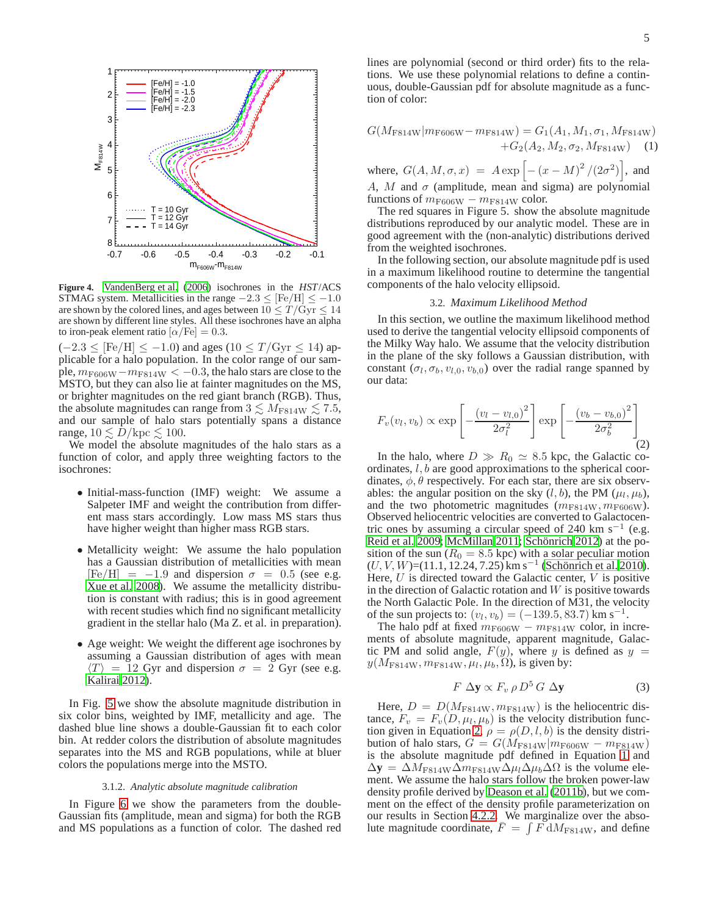

<span id="page-4-1"></span>**Figure 4.** [VandenBerg et al. \(2006\)](#page-10-31) isochrones in the *HST*/ACS STMAG system. Metallicities in the range  $-2.3 \leq$  [Fe/H]  $\leq -1.0$ are shown by the colored lines, and ages between  $10 \leq T/\text{Gyr} \leq 14$ are shown by different line styles. All these isochrones have an alpha to iron-peak element ratio  $\alpha$ /Fe] = 0.3.

 $(-2.3 \leq$  [Fe/H]  $\leq -1.0$ ) and ages (10  $\leq T/\text{Gyr} \leq 14$ ) applicable for a halo population. In the color range of our sample,  $m_{\rm F606W}-m_{\rm F814W} < -0.3$ , the halo stars are close to the MSTO, but they can also lie at fainter magnitudes on the MS, or brighter magnitudes on the red giant branch (RGB). Thus, the absolute magnitudes can range from  $3 \lesssim M_{\rm F814W} \lesssim 7.5$ , and our sample of halo stars potentially spans a distance range,  $10 \lesssim D/\text{kpc} \lesssim 100$ .

We model the absolute magnitudes of the halo stars as a function of color, and apply three weighting factors to the isochrones:

- Initial-mass-function (IMF) weight: We assume a Salpeter IMF and weight the contribution from different mass stars accordingly. Low mass MS stars thus have higher weight than higher mass RGB stars.
- Metallicity weight: We assume the halo population has a Gaussian distribution of metallicities with mean  $[Fe/H] = -1.9$  and dispersion  $\sigma = 0.5$  (see e.g. [Xue et al. 2008\)](#page-10-33). We assume the metallicity distribution is constant with radius; this is in good agreement with recent studies which find no significant metallicity gradient in the stellar halo (Ma Z. et al. in preparation).
- Age weight: We weight the different age isochrones by assuming a Gaussian distribution of ages with mean  $\langle T \rangle$  = 12 Gyr and dispersion  $\sigma$  = 2 Gyr (see e.g. [Kalirai 2012\)](#page-10-34).

In Fig. [5](#page-5-0) we show the absolute magnitude distribution in six color bins, weighted by IMF, metallicity and age. The dashed blue line shows a double-Gaussian fit to each color bin. At redder colors the distribution of absolute magnitudes separates into the MS and RGB populations, while at bluer colors the populations merge into the MSTO.

### 3.1.2. *Analytic absolute magnitude calibration*

In Figure [6](#page-5-1) we show the parameters from the double-Gaussian fits (amplitude, mean and sigma) for both the RGB and MS populations as a function of color. The dashed red lines are polynomial (second or third order) fits to the relations. We use these polynomial relations to define a continuous, double-Gaussian pdf for absolute magnitude as a function of color:

<span id="page-4-3"></span>
$$
G(M_{\text{F814W}}|m_{\text{F606W}} - m_{\text{F814W}}) = G_1(A_1, M_1, \sigma_1, M_{\text{F814W}}) + G_2(A_2, M_2, \sigma_2, M_{\text{F814W}})
$$
(1)

where,  $G(A, M, \sigma, x) = A \exp \left[ - (x - M)^2 / (2 \sigma^2) \right]$ , and A, M and  $\sigma$  (amplitude, mean and sigma) are polynomial functions of  $m_{\text{F606W}} - m_{\text{F814W}}$  color.

The red squares in Figure 5. show the absolute magnitude distributions reproduced by our analytic model. These are in good agreement with the (non-analytic) distributions derived from the weighted isochrones.

In the following section, our absolute magnitude pdf is used in a maximum likelihood routine to determine the tangential components of the halo velocity ellipsoid.

#### 3.2. *Maximum Likelihood Method*

<span id="page-4-0"></span>In this section, we outline the maximum likelihood method used to derive the tangential velocity ellipsoid components of the Milky Way halo. We assume that the velocity distribution in the plane of the sky follows a Gaussian distribution, with constant  $(\sigma_l, \sigma_b, v_{l,0}, v_{b,0})$  over the radial range spanned by our data:

<span id="page-4-2"></span>
$$
F_v(v_l, v_b) \propto \exp\left[-\frac{\left(v_l - v_{l,0}\right)^2}{2\sigma_l^2}\right] \exp\left[-\frac{\left(v_b - v_{b,0}\right)^2}{2\sigma_b^2}\right] \tag{2}
$$

In the halo, where  $D \gg R_0 \simeq 8.5$  kpc, the Galactic coordinates, l, b are good approximations to the spherical coordinates,  $\phi$ ,  $\theta$  respectively. For each star, there are six observables: the angular position on the sky  $(l, b)$ , the PM  $(\mu_l, \mu_b)$ , and the two photometric magnitudes  $(m<sub>F814W</sub>, m<sub>F606W</sub>)$ . Observed heliocentric velocities are converted to Galactocentric ones by assuming a circular speed of 240 km s<sup>-1</sup> (e.g. [Reid et al. 2009;](#page-10-35) [McMillan 2011](#page-10-36); Schönrich 2012) at the position of the sun ( $R_0 = 8.5$  kpc) with a solar peculiar motion  $(U, V, W) = (11.1, 12.24, 7.25)$  km s<sup>-1</sup> (Schönrich et al. 2010). Here,  $U$  is directed toward the Galactic center,  $V$  is positive in the direction of Galactic rotation and  $W$  is positive towards the North Galactic Pole. In the direction of M31, the velocity of the sun projects to:  $(v_l, v_b) = (-139.5, 83.7)$  km s<sup>-1</sup>.

The halo pdf at fixed  $m_{\text{F606W}} - m_{\text{F814W}}$  color, in increments of absolute magnitude, apparent magnitude, Galactic PM and solid angle,  $F(y)$ , where y is defined as  $y =$  $y(M_{\rm F814W}, m_{\rm F814W}, \mu_l, \mu_b, \Omega)$ , is given by:

$$
F \, \Delta \mathbf{y} \propto F_v \, \rho \, D^5 \, G \, \Delta \mathbf{y} \tag{3}
$$

Here,  $D = D(M_{\text{F814W}}, m_{\text{F814W}})$  is the heliocentric distance,  $F_v = F_v(D, \mu_l, \mu_b)$  is the velocity distribution func-tion given in Equation [2,](#page-4-2)  $\rho = \rho(D, l, b)$  is the density distribution of halo stars,  $G = G(M_{\text{F814W}}|m_{\text{F606W}} - m_{\text{F814W}})$ is the absolute magnitude pdf defined in Equation [1](#page-4-3) and  $\Delta y = \Delta M_{F814W} \Delta m_{F814W} \Delta \mu_l \Delta \mu_b \Delta \Omega$  is the volume element. We assume the halo stars follow the broken power-law density profile derived by [Deason et al. \(2011b](#page-10-39)), but we comment on the effect of the density profile parameterization on our results in Section [4.2.2.](#page-7-1) We marginalize over the absolute magnitude coordinate,  $\bar{F} = \int \vec{F} dM_{F814W}$ , and define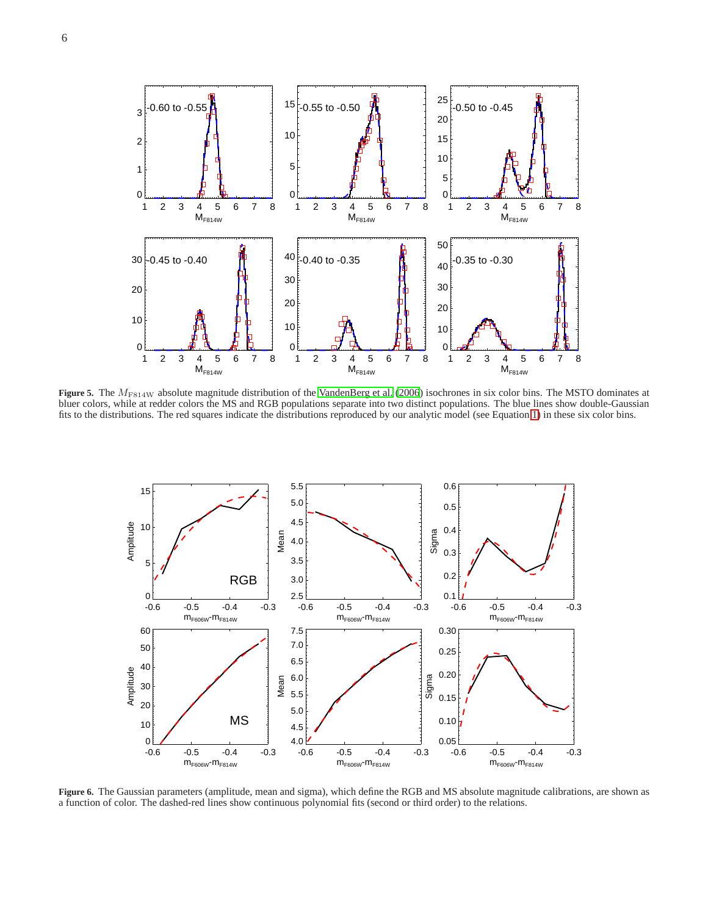

<span id="page-5-0"></span>**Figure 5.** The  $M_{F814W}$  absolute magnitude distribution of the [VandenBerg et al. \(2006](#page-10-31)) isochrones in six color bins. The MSTO dominates at bluer colors, while at redder colors the MS and RGB populations separate into two distinct populations. The blue lines show double-Gaussian fits to the distributions. The red squares indicate the distributions reproduced by our analytic model (see Equation [1\)](#page-4-3) in these six color bins.



<span id="page-5-1"></span>**Figure 6.** The Gaussian parameters (amplitude, mean and sigma), which define the RGB and MS absolute magnitude calibrations, are shown as a function of color. The dashed-red lines show continuous polynomial fits (second or third order) to the relations.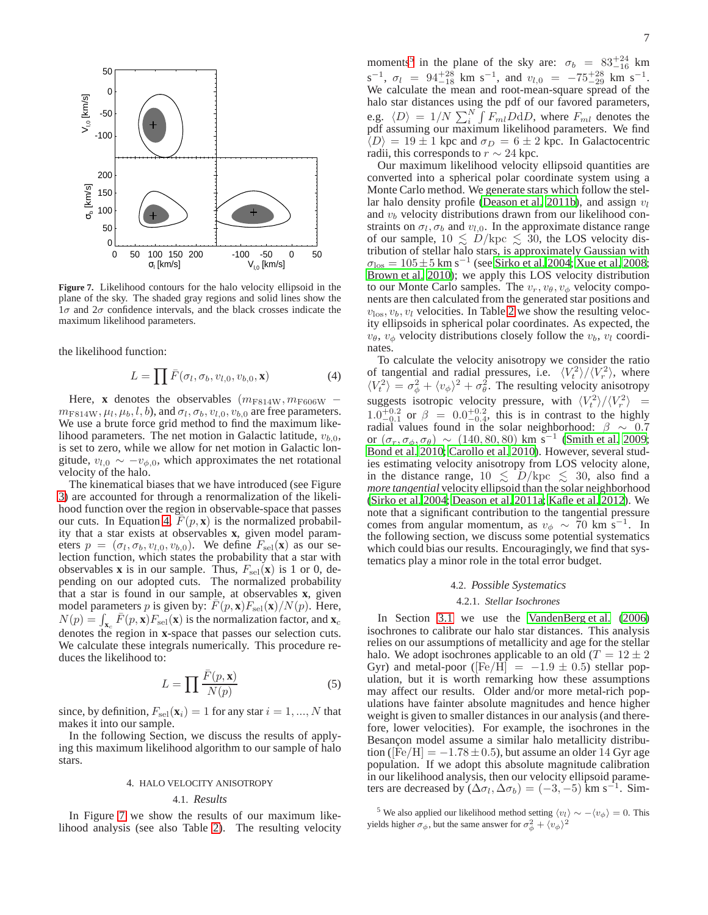

<span id="page-6-1"></span>**Figure 7.** Likelihood contours for the halo velocity ellipsoid in the plane of the sky. The shaded gray regions and solid lines show the  $1\sigma$  and  $2\sigma$  confidence intervals, and the black crosses indicate the maximum likelihood parameters.

the likelihood function:

<span id="page-6-0"></span>
$$
L = \prod \bar{F}(\sigma_l, \sigma_b, v_{l,0}, v_{b,0}, \mathbf{x}) \tag{4}
$$

Here, **x** denotes the observables  $(m_{F814W}, m_{F606W}$  −  $m_{\text{F814W}}, \mu_l, \mu_b, l, b$ , and  $\sigma_l, \sigma_b, v_{l,0}, v_{b,0}$  are free parameters. We use a brute force grid method to find the maximum likelihood parameters. The net motion in Galactic latitude,  $v_{h,0}$ , is set to zero, while we allow for net motion in Galactic longitude,  $v_{l,0} \sim -v_{\phi,0}$ , which approximates the net rotational velocity of the halo.

The kinematical biases that we have introduced (see Figure [3\)](#page-3-0) are accounted for through a renormalization of the likelihood function over the region in observable-space that passes our cuts. In Equation [4,](#page-6-0)  $F(p, x)$  is the normalized probability that a star exists at observables **x**, given model parameters  $p = (\sigma_l, \sigma_b, v_{l,0}, v_{b,0})$ . We define  $F_{\text{sel}}(\mathbf{x})$  as our selection function, which states the probability that a star with observables **x** is in our sample. Thus,  $F_{\text{sel}}(\mathbf{x})$  is 1 or 0, depending on our adopted cuts. The normalized probability that a star is found in our sample, at observables **x**, given model parameters p is given by:  $F(p, \mathbf{x})F_{\text{sel}}(\mathbf{x})/N(p)$ . Here,  $N(p) = \int_{\mathbf{x}_c} \bar{F}(p, \mathbf{x}) F_{\text{sel}}(\mathbf{x})$  is the normalization factor, and  $\mathbf{x}_c$ denotes the region in **x**-space that passes our selection cuts. We calculate these integrals numerically. This procedure reduces the likelihood to:

$$
L = \prod \frac{\bar{F}(p, \mathbf{x})}{N(p)} \tag{5}
$$

since, by definition,  $F_{\text{sel}}(\mathbf{x}_i) = 1$  for any star  $i = 1, ..., N$  that makes it into our sample.

In the following Section, we discuss the results of applying this maximum likelihood algorithm to our sample of halo stars.

#### 4. HALO VELOCITY ANISOTROPY

#### 4.1. *Results*

In Figure [7](#page-6-1) we show the results of our maximum likelihood analysis (see also Table [2\)](#page-7-2). The resulting velocity

moments<sup>[5](#page-6-2)</sup> in the plane of the sky are:  $\sigma_b = 83^{+24}_{-16}$  km  $s^{-1}$ ,  $\sigma_l = 94^{+28}_{-18}$  km  $s^{-1}$ , and  $v_{l,0} = -75^{+28}_{-29}$  km  $s^{-1}$ . We calculate the mean and root-mean-square spread of the halo star distances using the pdf of our favored parameters, e.g.  $\langle D \rangle = 1/N \sum_{i=1}^{N} \int F_{ml} D \mathrm{d}D$ , where  $F_{ml}$  denotes the pdf assuming our maximum likelihood parameters. We find  $\overline{\langle D \rangle} = 19 \pm 1$  kpc and  $\sigma_D = 6 \pm 2$  kpc. In Galactocentric radii, this corresponds to  $r \sim 24$  kpc.

Our maximum likelihood velocity ellipsoid quantities are converted into a spherical polar coordinate system using a Monte Carlo method. We generate stars which follow the stel-lar halo density profile [\(Deason et al. 2011b\)](#page-10-39), and assign  $v_l$ and  $v<sub>b</sub>$  velocity distributions drawn from our likelihood constraints on  $\sigma_l, \sigma_b$  and  $v_{l,0}$ . In the approximate distance range of our sample,  $10 \le D/\text{kpc} \le 30$ , the LOS velocity distribution of stellar halo stars, is approximately Gaussian with  $\sigma_{\text{los}} = 105 \pm 5 \text{ km s}^{-1}$  (see [Sirko et al. 2004;](#page-10-8) [Xue et al. 2008](#page-10-33); [Brown et al. 2010\)](#page-10-40); we apply this LOS velocity distribution to our Monte Carlo samples. The  $v_r$ ,  $v_\theta$ ,  $v_\phi$  velocity components are then calculated from the generated star positions and  $v_{\text{los}}$ ,  $v_b$ ,  $v_l$  velocities. In Table [2](#page-7-2) we show the resulting velocity ellipsoids in spherical polar coordinates. As expected, the  $v_{\theta}$ ,  $v_{\phi}$  velocity distributions closely follow the  $v_{b}$ ,  $v_{l}$  coordinates.

To calculate the velocity anisotropy we consider the ratio of tangential and radial pressures, i.e.  $\langle V_t^2 \rangle / \langle V_r^2 \rangle$ , where  $\langle V_t^2 \rangle = \sigma_\phi^2 + \langle v_\phi \rangle^2 + \sigma_\theta^2$ . The resulting velocity anisotropy suggests isotropic velocity pressure, with  $\langle V_t^2 \rangle / \langle V_r^2 \rangle$  =  $1.0^{+0.2}_{-0.1}$  or  $\beta = 0.0^{+0.2}_{-0.4}$ , this is in contrast to the highly radial values found in the solar neighborhood:  $\beta \sim 0.7$ or  $(\sigma_r, \sigma_\phi, \sigma_\theta) \sim (140, 80, 80) \text{ km s}^{-1}$  [\(Smith et al. 2009](#page-10-5); [Bond et al. 2010;](#page-10-6) [Carollo et al. 2010\)](#page-10-7). However, several studies estimating velocity anisotropy from LOS velocity alone, in the distance range,  $10 \le D/\text{kpc} \le 30$ , also find a *more tangential* velocity ellipsoid than the solar neighborhood [\(Sirko et al. 2004;](#page-10-8) [Deason et al. 2011a;](#page-10-41) [Kafle et al. 2012](#page-10-10)). We note that a significant contribution to the tangential pressure comes from angular momentum, as  $v_{\phi} \sim 70 \text{ km s}^{-1}$ . In the following section, we discuss some potential systematics which could bias our results. Encouragingly, we find that systematics play a minor role in the total error budget.

## 4.2. *Possible Systematics*

## 4.2.1. *Stellar Isochrones*

In Section [3.1](#page-3-3) we use the [VandenBerg et al.](#page-10-31) [\(2006\)](#page-10-31) isochrones to calibrate our halo star distances. This analysis relies on our assumptions of metallicity and age for the stellar halo. We adopt isochrones applicable to an old ( $T = 12 \pm 2$ ) Gyr) and metal-poor ( $[Fe/H] = -1.9 \pm 0.5$ ) stellar population, but it is worth remarking how these assumptions may affect our results. Older and/or more metal-rich populations have fainter absolute magnitudes and hence higher weight is given to smaller distances in our analysis (and therefore, lower velocities). For example, the isochrones in the Besancon model assume a similar halo metallicity distribution ( $[Fe/H] = -1.78 \pm 0.5$ ), but assume an older 14 Gyr age population. If we adopt this absolute magnitude calibration in our likelihood analysis, then our velocity ellipsoid parameters are decreased by  $(\Delta \sigma_l, \Delta \sigma_b) = (-3, -5)$  km s<sup>-1</sup>. Sim-

<span id="page-6-2"></span><sup>&</sup>lt;sup>5</sup> We also applied our likelihood method setting  $\langle v_l \rangle \sim -\langle v_{\phi} \rangle = 0$ . This yields higher  $\sigma_{\phi}$ , but the same answer for  $\sigma_{\phi}^2 + \langle v_{\phi} \rangle^2$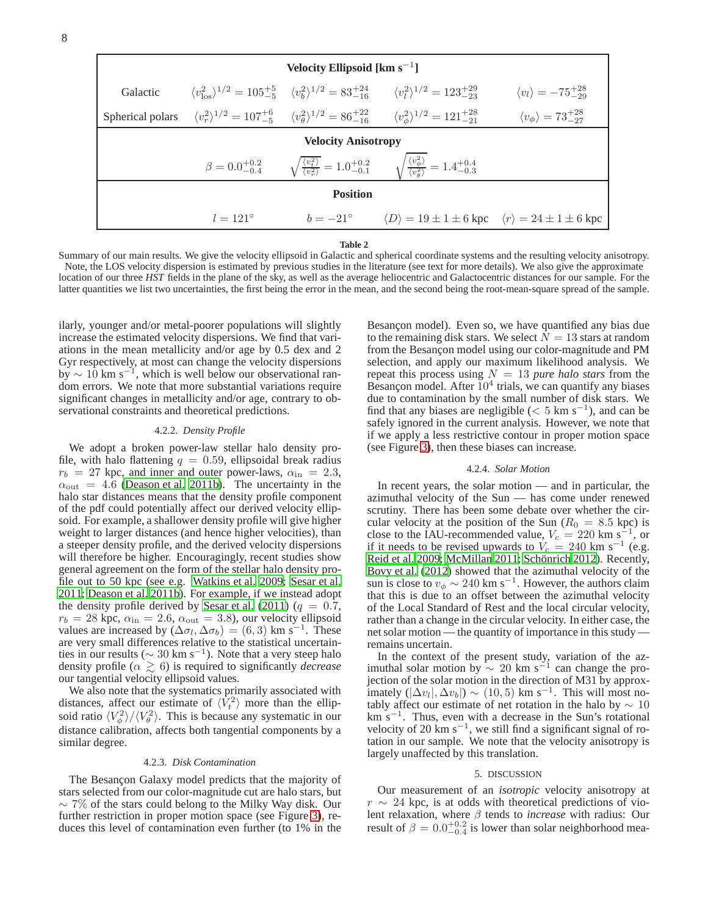| Velocity Ellipsoid [ $km s^{-1}$ ] |                   |  |                                                                                                                                                                                                                          |                                             |  |  |  |  |  |  |
|------------------------------------|-------------------|--|--------------------------------------------------------------------------------------------------------------------------------------------------------------------------------------------------------------------------|---------------------------------------------|--|--|--|--|--|--|
| Galactic                           |                   |  | $\langle v_{\rm los}^2 \rangle^{1/2} = 105^{+5}_{-5}$ $\langle v_{\rm b}^2 \rangle^{1/2} = 83^{+24}_{-16}$ $\langle v_{\rm t}^2 \rangle^{1/2} = 123^{+29}_{-23}$                                                         | $\langle v_l \rangle = -75^{+28}_{-29}$     |  |  |  |  |  |  |
|                                    |                   |  | Spherical polars $\langle v_x^2 \rangle^{1/2} = 107^{+6}_{-5}$ $\langle v_a^2 \rangle^{1/2} = 86^{+22}_{-16}$ $\langle v_a^2 \rangle^{1/2} = 121^{+28}_{-21}$                                                            | $\langle v_{\phi} \rangle = 73^{+28}_{-27}$ |  |  |  |  |  |  |
| <b>Velocity Anisotropy</b>         |                   |  |                                                                                                                                                                                                                          |                                             |  |  |  |  |  |  |
|                                    |                   |  | $\beta = 0.0^{+0.2}_{-0.4} \qquad \sqrt{\frac{\langle v_{\nu}^2 \rangle}{\langle v_{\nu}^2 \rangle}} = 1.0^{+0.2}_{-0.1} \qquad \sqrt{\frac{\langle v_{\phi}^2 \rangle}{\langle v_{\nu}^2 \rangle}} = 1.4^{+0.4}_{-0.3}$ |                                             |  |  |  |  |  |  |
| <b>Position</b>                    |                   |  |                                                                                                                                                                                                                          |                                             |  |  |  |  |  |  |
|                                    | $l = 121^{\circ}$ |  | $b = -21^{\circ}$ $\langle D \rangle = 19 \pm 1 \pm 6$ kpc $\langle r \rangle = 24 \pm 1 \pm 6$ kpc                                                                                                                      |                                             |  |  |  |  |  |  |

#### **Table 2**

<span id="page-7-2"></span>Summary of our main results. We give the velocity ellipsoid in Galactic and spherical coordinate systems and the resulting velocity anisotropy. Note, the LOS velocity dispersion is estimated by previous studies in the literature (see text for more details). We also give the approximate location of our three *HST* fields in the plane of the sky, as well as the average heliocentric and Galactocentric distances for our sample. For the latter quantities we list two uncertainties, the first being the error in the mean, and the second being the root-mean-square spread of the sample.

ilarly, younger and/or metal-poorer populations will slightly increase the estimated velocity dispersions. We find that variations in the mean metallicity and/or age by 0.5 dex and 2 Gyr respectively, at most can change the velocity dispersions  $\frac{1}{2}$  by ~ 10 km s<sup>-1</sup>, which is well below our observational random errors. We note that more substantial variations require significant changes in metallicity and/or age, contrary to observational constraints and theoretical predictions.

### 4.2.2. *Density Profile*

<span id="page-7-1"></span>We adopt a broken power-law stellar halo density profile, with halo flattening  $q = 0.59$ , ellipsoidal break radius  $r_b = 27$  kpc, and inner and outer power-laws,  $\alpha_{\rm in} = 2.3$ ,  $\alpha_{\text{out}} = 4.6$  [\(Deason et al. 2011b\)](#page-10-39). The uncertainty in the halo star distances means that the density profile component of the pdf could potentially affect our derived velocity ellipsoid. For example, a shallower density profile will give higher weight to larger distances (and hence higher velocities), than a steeper density profile, and the derived velocity dispersions will therefore be higher. Encouragingly, recent studies show general agreement on the form of the stellar halo density profile out to 50 kpc (see e.g. [Watkins et al. 2009;](#page-10-42) [Sesar et al.](#page-10-43) [2011;](#page-10-43) [Deason et al. 2011b\)](#page-10-39). For example, if we instead adopt the density profile derived by [Sesar et al.](#page-10-43) [\(2011\)](#page-10-43) ( $q = 0.7$ ,  $r_b = 28$  kpc,  $\alpha_{\text{in}} = 2.6$ ,  $\alpha_{\text{out}} = 3.8$ ), our velocity ellipsoid values are increased by  $(\Delta \sigma_l, \Delta \sigma_b) = (6, 3)$  km s<sup>-1</sup>. These are very small differences relative to the statistical uncertainties in our results ( $\sim 30 \text{ km s}^{-1}$ ). Note that a very steep halo density profile ( $\alpha \geq 6$ ) is required to significantly *decrease* our tangential velocity ellipsoid values.

We also note that the systematics primarily associated with distances, affect our estimate of  $\langle V_t^2 \rangle$  more than the ellipsoid ratio  $\langle V_{\phi}^2 \rangle / \langle V_{\theta}^2 \rangle$ . This is because any systematic in our distance calibration, affects both tangential components by a similar degree.

#### 4.2.3. *Disk Contamination*

<span id="page-7-0"></span>The Besançon Galaxy model predicts that the majority of stars selected from our color-magnitude cut are halo stars, but  $\sim$  7% of the stars could belong to the Milky Way disk. Our further restriction in proper motion space (see Figure [3\)](#page-3-0), reduces this level of contamination even further (to 1% in the Besancon model). Even so, we have quantified any bias due to the remaining disk stars. We select  $N = 13$  stars at random from the Besançon model using our color-magnitude and PM selection, and apply our maximum likelihood analysis. We repeat this process using  $N = 13$  *pure halo stars* from the Besançon model. After  $10^4$  trials, we can quantify any biases due to contamination by the small number of disk stars. We find that any biases are negligible  $(< 5 \text{ km s}^{-1})$ , and can be safely ignored in the current analysis. However, we note that if we apply a less restrictive contour in proper motion space (see Figure [3\)](#page-3-0), then these biases can increase.

## 4.2.4. *Solar Motion*

In recent years, the solar motion — and in particular, the azimuthal velocity of the Sun — has come under renewed scrutiny. There has been some debate over whether the circular velocity at the position of the Sun ( $R_0 = 8.5$  kpc) is close to the IAU-recommended value,  $V_c = 220 \text{ km s}^{-1}$ , or if it needs to be revised upwards to  $V_c = 240 \text{ km s}^{-1}$  (e.g. [Reid et al. 2009;](#page-10-35) [McMillan 2011;](#page-10-36) Schönrich 2012). Recently, [Bovy et al. \(2012\)](#page-10-44) showed that the azimuthal velocity of the sun is close to  $v_{\phi} \sim 240 \text{ km s}^{-1}$ . However, the authors claim that this is due to an offset between the azimuthal velocity of the Local Standard of Rest and the local circular velocity, rather than a change in the circular velocity. In either case, the net solar motion — the quantity of importance in this study remains uncertain.

In the context of the present study, variation of the azimuthal solar motion by  $\sim 20 \text{ km s}^{-1}$  can change the projection of the solar motion in the direction of M31 by approximately  $(|\Delta v_l|, \Delta v_b|) \sim (10, 5)$  km s<sup>-1</sup>. This will most notably affect our estimate of net rotation in the halo by  $\sim 10$  $km s^{-1}$ . Thus, even with a decrease in the Sun's rotational velocity of 20 km s<sup>-1</sup>, we still find a significant signal of rotation in our sample. We note that the velocity anisotropy is largely unaffected by this translation.

## 5. DISCUSSION

Our measurement of an *isotropic* velocity anisotropy at  $r \sim 24$  kpc, is at odds with theoretical predictions of violent relaxation, where β tends to *increase* with radius: Our result of  $\beta = 0.0^{+0.2}_{-0.4}$  is lower than solar neighborhood mea-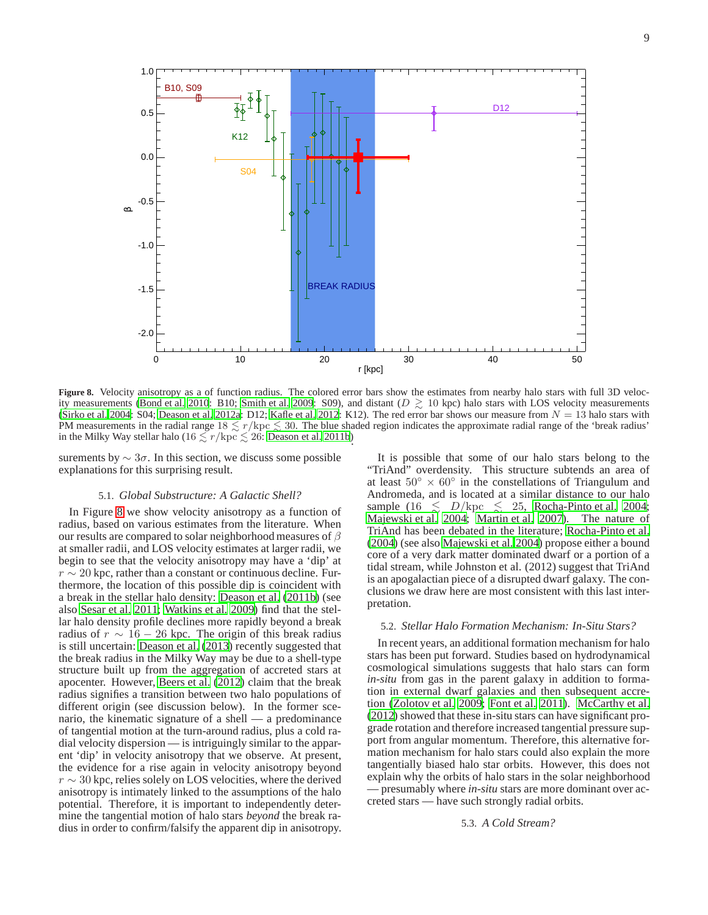

<span id="page-8-0"></span>**Figure 8.** Velocity anisotropy as a of function radius. The colored error bars show the estimates from nearby halo stars with full 3D veloc-ity measurements [\(Bond et al. 2010:](#page-10-6) B10; [Smith et al. 2009](#page-10-5): S09), and distant ( $D \gtrsim 10$  kpc) halo stars with LOS velocity measurements [\(Sirko et al. 2004](#page-10-8): S04; [Deason et al. 2012a](#page-10-9): D12; [Kafle et al. 2012](#page-10-10): K12). The red error bar shows our measure from  $N = 13$  halo stars with PM measurements in the radial range  $18 \le r/\text{kpc} \le 30$ . The blue shaded region indicates the approximate radial range of the 'break radius' in the Milky Way stellar halo ( $16 \lesssim r/\text{kpc} \lesssim 26$ : [Deason et al. 2011b\)](#page-10-39).

surements by  $\sim 3\sigma$ . In this section, we discuss some possible explanations for this surprising result.

### 5.1. *Global Substructure: A Galactic Shell?*

In Figure [8](#page-8-0) we show velocity anisotropy as a function of radius, based on various estimates from the literature. When our results are compared to solar neighborhood measures of  $\beta$ at smaller radii, and LOS velocity estimates at larger radii, we begin to see that the velocity anisotropy may have a 'dip' at  $r \sim 20$  kpc, rather than a constant or continuous decline. Furthermore, the location of this possible dip is coincident with a break in the stellar halo density: [Deason et al. \(2011b](#page-10-39)) (see also [Sesar et al. 2011;](#page-10-43) [Watkins et al. 2009\)](#page-10-42) find that the stellar halo density profile declines more rapidly beyond a break radius of  $r \sim 16 - 26$  kpc. The origin of this break radius is still uncertain: [Deason et al. \(2013\)](#page-10-45) recently suggested that the break radius in the Milky Way may be due to a shell-type structure built up from the aggregation of accreted stars at apocenter. However, [Beers et al. \(2012](#page-10-46)) claim that the break radius signifies a transition between two halo populations of different origin (see discussion below). In the former scenario, the kinematic signature of a shell — a predominance of tangential motion at the turn-around radius, plus a cold radial velocity dispersion — is intriguingly similar to the apparent 'dip' in velocity anisotropy that we observe. At present, the evidence for a rise again in velocity anisotropy beyond  $r \sim 30$  kpc, relies solely on LOS velocities, where the derived anisotropy is intimately linked to the assumptions of the halo potential. Therefore, it is important to independently determine the tangential motion of halo stars *beyond* the break radius in order to confirm/falsify the apparent dip in anisotropy.

It is possible that some of our halo stars belong to the "TriAnd" overdensity. This structure subtends an area of at least  $50° \times 60°$  in the constellations of Triangulum and Andromeda, and is located at a similar distance to our halo sample (16  $\lesssim D/\text{kpc} \lesssim 25$ , [Rocha-Pinto et al. 2004](#page-10-47); [Majewski et al. 2004;](#page-10-48) [Martin et al. 2007\)](#page-10-49). The nature of TriAnd has been debated in the literature; [Rocha-Pinto et al.](#page-10-47) [\(2004\)](#page-10-47) (see also [Majewski et al. 2004](#page-10-48)) propose either a bound core of a very dark matter dominated dwarf or a portion of a tidal stream, while Johnston et al. (2012) suggest that TriAnd is an apogalactian piece of a disrupted dwarf galaxy. The conclusions we draw here are most consistent with this last interpretation.

## 5.2. *Stellar Halo Formation Mechanism: In-Situ Stars?*

In recent years, an additional formation mechanism for halo stars has been put forward. Studies based on hydrodynamical cosmological simulations suggests that halo stars can form *in-situ* from gas in the parent galaxy in addition to formation in external dwarf galaxies and then subsequent accretion [\(Zolotov et al. 2009;](#page-10-50) [Font et al. 2011\)](#page-10-51). [McCarthy et al.](#page-10-52) [\(2012\)](#page-10-52) showed that these in-situ stars can have significant prograde rotation and therefore increased tangential pressure support from angular momentum. Therefore, this alternative formation mechanism for halo stars could also explain the more tangentially biased halo star orbits. However, this does not explain why the orbits of halo stars in the solar neighborhood — presumably where *in-situ* stars are more dominant over accreted stars — have such strongly radial orbits.

# 5.3. *A Cold Stream?*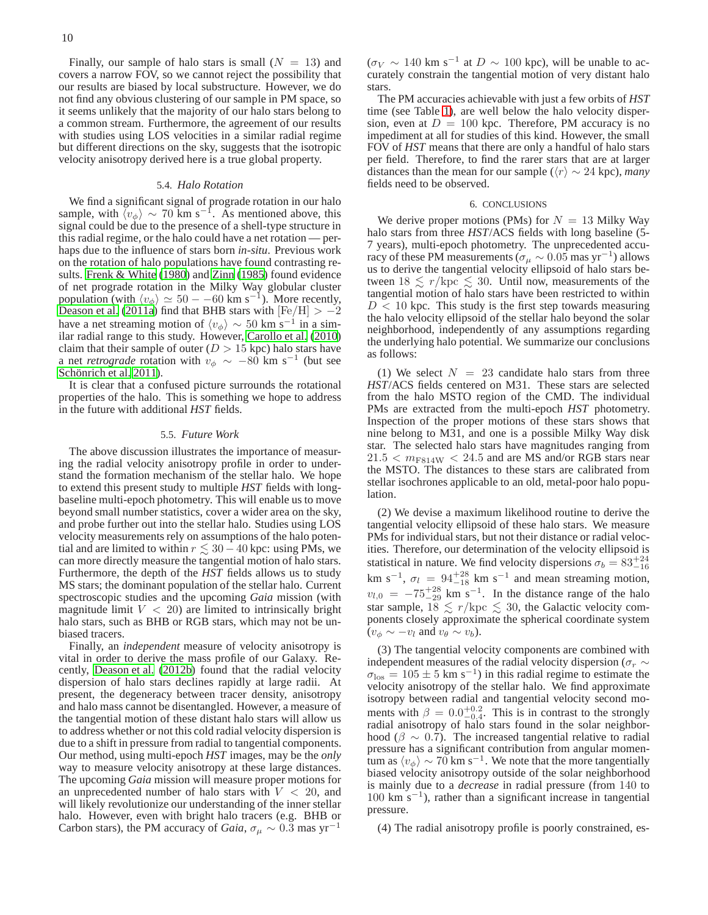Finally, our sample of halo stars is small  $(N = 13)$  and covers a narrow FOV, so we cannot reject the possibility that our results are biased by local substructure. However, we do not find any obvious clustering of our sample in PM space, so it seems unlikely that the majority of our halo stars belong to a common stream. Furthermore, the agreement of our results with studies using LOS velocities in a similar radial regime but different directions on the sky, suggests that the isotropic velocity anisotropy derived here is a true global property.

## 5.4. *Halo Rotation*

We find a significant signal of prograde rotation in our halo sample, with  $\langle v_{\phi} \rangle \sim 70$  km s<sup>-1</sup>. As mentioned above, this signal could be due to the presence of a shell-type structure in this radial regime, or the halo could have a net rotation — perhaps due to the influence of stars born *in-situ*. Previous work on the rotation of halo populations have found contrasting results. [Frenk & White \(1980\)](#page-10-53) and [Zinn \(1985\)](#page-10-54) found evidence of net prograde rotation in the Milky Way globular cluster population (with  $\langle v_{\phi} \rangle \simeq 50 - 60$  km s<sup>-1</sup>). More recently, [Deason et al.](#page-10-41) [\(2011a\)](#page-10-41) find that BHB stars with  $[Fe/H] > -2$ have a net streaming motion of  $\langle v_{\phi} \rangle \sim 50$  km s<sup>-1</sup> in a similar radial range to this study. However, [Carollo et al. \(2010\)](#page-10-7) claim that their sample of outer ( $D > 15$  kpc) halo stars have a net *retrograde* rotation with  $v_{\phi} \sim -80$  km s<sup>-1</sup> (but see Schönrich et al. 2011).

It is clear that a confused picture surrounds the rotational properties of the halo. This is something we hope to address in the future with additional *HST* fields.

### 5.5. *Future Work*

The above discussion illustrates the importance of measuring the radial velocity anisotropy profile in order to understand the formation mechanism of the stellar halo. We hope to extend this present study to multiple *HST* fields with longbaseline multi-epoch photometry. This will enable us to move beyond small number statistics, cover a wider area on the sky, and probe further out into the stellar halo. Studies using LOS velocity measurements rely on assumptions of the halo potential and are limited to within  $r \lesssim 30 - 40$  kpc: using PMs, we can more directly measure the tangential motion of halo stars. Furthermore, the depth of the *HST* fields allows us to study MS stars; the dominant population of the stellar halo. Current spectroscopic studies and the upcoming *Gaia* mission (with magnitude limit  $V < 20$ ) are limited to intrinsically bright halo stars, such as BHB or RGB stars, which may not be unbiased tracers.

Finally, an *independent* measure of velocity anisotropy is vital in order to derive the mass profile of our Galaxy. Recently, [Deason et al. \(2012b\)](#page-10-56) found that the radial velocity dispersion of halo stars declines rapidly at large radii. At present, the degeneracy between tracer density, anisotropy and halo mass cannot be disentangled. However, a measure of the tangential motion of these distant halo stars will allow us to address whether or not this cold radial velocity dispersion is due to a shift in pressure from radial to tangential components. Our method, using multi-epoch *HST* images, may be the *only* way to measure velocity anisotropy at these large distances. The upcoming *Gaia* mission will measure proper motions for an unprecedented number of halo stars with  $V < 20$ , and will likely revolutionize our understanding of the inner stellar halo. However, even with bright halo tracers (e.g. BHB or Carbon stars), the PM accuracy of *Gaia*,  $\sigma_{\mu} \sim 0.3$  mas yr<sup>-1</sup>

 $(\sigma_V \sim 140 \text{ km s}^{-1} \text{ at } D \sim 100 \text{ kpc})$ , will be unable to accurately constrain the tangential motion of very distant halo stars.

The PM accuracies achievable with just a few orbits of *HST* time (see Table [1\)](#page-2-1), are well below the halo velocity dispersion, even at  $D = 100$  kpc. Therefore, PM accuracy is no impediment at all for studies of this kind. However, the small FOV of *HST* means that there are only a handful of halo stars per field. Therefore, to find the rarer stars that are at larger distances than the mean for our sample ( $\langle r \rangle \sim 24$  kpc), *many* fields need to be observed.

### 6. CONCLUSIONS

We derive proper motions (PMs) for  $N = 13$  Milky Way halo stars from three *HST*/ACS fields with long baseline (5- 7 years), multi-epoch photometry. The unprecedented accuracy of these PM measurements ( $\sigma_{\mu} \sim 0.05$  mas yr<sup>-1</sup>) allows us to derive the tangential velocity ellipsoid of halo stars between  $18 \le r/\text{kpc} \le 30$ . Until now, measurements of the tangential motion of halo stars have been restricted to within  $D < 10$  kpc. This study is the first step towards measuring the halo velocity ellipsoid of the stellar halo beyond the solar neighborhood, independently of any assumptions regarding the underlying halo potential. We summarize our conclusions as follows:

(1) We select  $N = 23$  candidate halo stars from three *HST*/ACS fields centered on M31. These stars are selected from the halo MSTO region of the CMD. The individual PMs are extracted from the multi-epoch *HST* photometry. Inspection of the proper motions of these stars shows that nine belong to M31, and one is a possible Milky Way disk star. The selected halo stars have magnitudes ranging from  $21.5 < m_{\text{F814W}} < 24.5$  and are MS and/or RGB stars near the MSTO. The distances to these stars are calibrated from stellar isochrones applicable to an old, metal-poor halo population.

(2) We devise a maximum likelihood routine to derive the tangential velocity ellipsoid of these halo stars. We measure PMs for individual stars, but not their distance or radial velocities. Therefore, our determination of the velocity ellipsoid is statistical in nature. We find velocity dispersions  $\sigma_b = 83^{+24}_{-16}$ statistical in nature, we find velocity dispersions  $\delta_b = \delta J_{-16}$ <br>km s<sup>-1</sup>,  $\sigma_l = 94^{+28}_{-18}$  km s<sup>-1</sup> and mean streaming motion,  $v_{l,0} = -75^{+28}_{-29}$  km s<sup>-1</sup>. In the distance range of the halo star sample,  $18 \le r/\text{kpc} \le 30$ , the Galactic velocity components closely approximate the spherical coordinate system  $(v_{\phi} \sim -v_l \text{ and } v_{\theta} \sim v_b).$ 

(3) The tangential velocity components are combined with independent measures of the radial velocity dispersion ( $\sigma_r \sim$  $\sigma_{\text{los}} = 105 \pm 5 \text{ km s}^{-1}$ ) in this radial regime to estimate the velocity anisotropy of the stellar halo. We find approximate isotropy between radial and tangential velocity second moments with  $\beta = 0.0^{+0.2}_{-0.4}$ . This is in contrast to the strongly radial anisotropy of halo stars found in the solar neighborhood ( $\beta \sim 0.7$ ). The increased tangential relative to radial pressure has a significant contribution from angular momentum as  $\langle v_{\phi} \rangle \sim 70$  km s<sup>-1</sup>. We note that the more tangentially biased velocity anisotropy outside of the solar neighborhood is mainly due to a *decrease* in radial pressure (from 140 to 100 km s−<sup>1</sup> ), rather than a significant increase in tangential pressure.

(4) The radial anisotropy profile is poorly constrained, es-